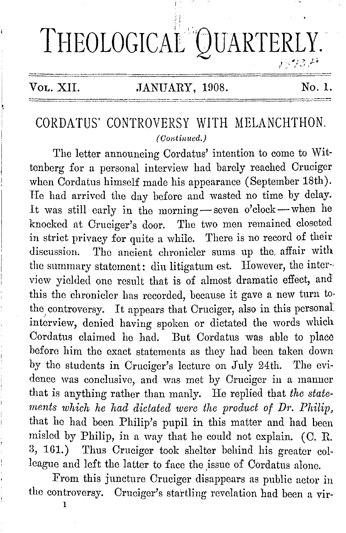# THEOLOGICAL<sup>®</sup>QUARTERLY. i' .'.' ~/ \_\_ ::: */:~*

## Vol. XII. **JANUARY, 1908.** No. 1.

# CORDATUS' CONTROVERSY WITH MELANCHTHON. *( Cont inned.)*

The letter announcing Cordatus' intention to come to Wittenberg for a personal interview had barely reached Cruciger when Cordatus himself made his appearance (September 18th). He had arrived the day before and wasted no time by delay. It was still early in the morning-seven o'clock-when he knocked at Cruciger's door. The two men remained closeted in strict privacy for quite a while. There is no record of their discussion. The ancient chronicler sums up the. affair with the summary statement: din litigatum est. However, the inter·· view yielded one result that is of almost dramatic effect, and this the chronicler has recorded, because it gave a new turn to. the controversy. It appears that Cruciger, also in this personal interview, denied having spoken or dictated the words which Cordatus claimed he had. But Cordatus was able to place before him the exact statements as they had been taken down by the students in Cruciger's lecture on July 24th. The evidence was conclusive, and was met by Cruciger in a manner that is anything rather than manly. He replied that *the statements which he had dictated were the product of Dr. Philip,*  that he had been Philip's pupil in this matter and had been misled by Philip, in a way that he could not explain. (C. R. 3, 161.) Thus Cruciger took shelter behind his greater colleague and left the latter to face the issue of Cordatus alone.

From this juncture Cruciger disappears as public actor in the controversy. Cruciger's startling revelation had been a vir-

1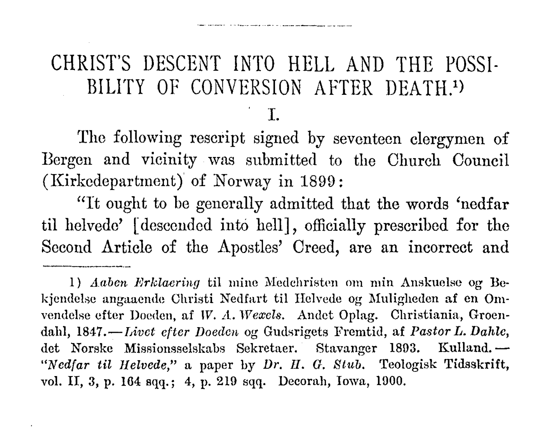# CHRIST'S DESCENT INTO HELL AND THE POSSI-BILITY OF CONVERSION AFTER DEATH.<sup>1</sup>)

#### I.

The following rescript signed by seventeen clergymen of Borgen and vicinity was submitted to the Church Council (Kirkedopartmont) of Norway in 1899:

"It ought to he generally admitted that the words 'nedfar til holvedo' [descended into hell], officially prescribed for the Second Article of the Apostles' Creed, are an incorrect and

<sup>1)</sup> Aaben *Erklaering* til mine Medchristen om min Anskuelse og Bekjendelse angaacnde Christi Nedfart til Uelvede og Muligheden af en Omvendelse efter Doeden, af *W. A. Wexels.* Andet Oplag. Christiania, Groendahl, 1847.-*Livet efter Doeden og Gudsrigets Fremtid, af Pastor L. Dahle,* det Norske Missionsselskabs Sekretaer. Stavanger 1893. Kulland. -*"Ncdfar ta Jlelvcde,"* a paper by *Dr. JI. G. Stub.* 'feologisk Tidsskrift, vol. II, 3, p. 164 sqq.; 4, p. 219 sqq. Decorah, Iowa, 1900.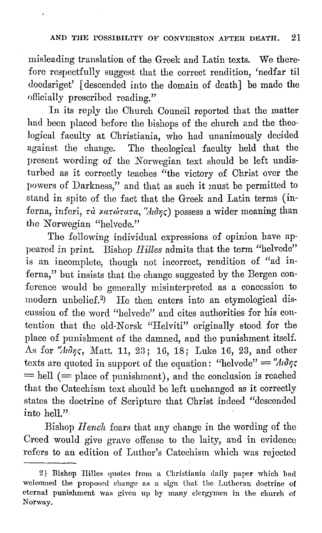misleading translation of the Greek and Latin texts. We therefore respectfully suggest that the correct rendition, 'nedfar til doedsriget' [descended into the domain of death] be made the officially prescribed reading."

In its reply tho Church Council reported that the matter had been placed before the bishops of the church and the theological faculty at Christiania, who had unanimously decided against the change. The theological faculty held that the present wording of the Norwegian text should be left undisturbed as it correctly teaches "the victory of Christ over the powers of Darkness," and that as such it must be permitted to stand in spite of the fact that the Greek and Latin terms (inferna, inferi, τ*α <i>χατώτατα*, "Aιδης) possess a wider meaning than the Norwegian "helvede."

The following individual expressions of opinion have appeared in print. Bishop *Hilles* admits that the term "helvede" is an incomplete, though not incorrect, rendition of "ad inferna," but insists that the change suggested by the Bergen conference would be generally misinterpreted as a concession to modern unbelicf.2 ) He then enters into an etymological discussion of the word "hclvedc" and cites authorities for his contention that the old-Norsk "Helviti" originally stood for the place of punishment of the damned, and the punishment itself. As for "*kδης*, Matt. 11, 23; 16, 18; Luke 16, 23, and other texts are quoted in support of the equation: "helvede" =  $"A \partial \gamma \zeta$  $=$  hell ( $=$  place of punishment), and the conclusion is reached that the Catechism text should be left unchanged as it correctly states the doctrine of Scripture that Christ indeed "descended into hell."·

Bishop *Hench* fears that any change in the wording of the Creed would give grave offense to the laity, and in evidence refers to an edition of Luther's Catechism which was rejected

<sup>2)</sup> Bishop Hilles quotes from a Christiania daily paper which had welcomed the proposed change as a sign that the Lutheran doctrine of eternal punishment was given up by many clergymen in the church of Norway.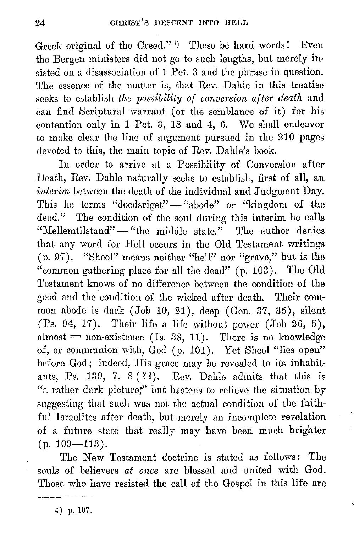Greek original of the Creed."<sup>4</sup>) These be hard words! Even the Bergen ministers did not go to such lengths, but merely insisted on a disassociation of 1 Pet. 3 and the phrase in question. The essence of the matter is, that Rev. Dahle in this treatise seeks to establish *the possibility of conversion after death* and can find Scriptural warrant (or the semblance of it) for his contention only in 1 Pet. 3, 18 and 4, G. We shall endeavor to make clear the lino of argument pursued in the 210 pages devoted to this, the main topic of Rev. Dahle's book.

In order to arrive at a Possibility of Conversion after Death, Rev. Dahle naturally seeks to establish, first of all, an *interim* between the death of the individual and Judgment Day. This he terms "doedsriget" - "abode" or "kingdom of the dead." The condition of the soul during this interim he calls "Mellemtilstand" - "the middle state." The author denies that any word for Hell occurs in the Old Testament writings (p. 97). "Sheol" means neither "hell" nor "grave," but is the "common gathering place for all the dead" (p. 103). The Old Testament knows of no difference between the condition of the good and the condition of the wicked after death. Their common abode is dark (Job 10, 21), deep (Gen. 37, 35), silent (Ps. 94, 17). Their life a life without power (Job 26, 5), almost  $=$  non-existence (Is. 38, 11). There is no knowledge of, or communion with, God (p. 101). Yet Sheol "lies open" before God; indeed, His grace may be revealed to its inhabitants, Ps. 139, 7. 8  $(3)$ . Rev. Dahle admits that this is "a rather dark picture;" but hastens to relieve the situation by suggesting that such was not the actual condition of the faithful Israelites after death, but merely an incomplete revelation of a future state that really may have been much brighter  $(p. 109 - 113).$ 

Tho New Testament doctrine is stated as follows: The souls of believers *at once* arc blessed and united with God. Those who have resisted tho call of the Gospel in this life are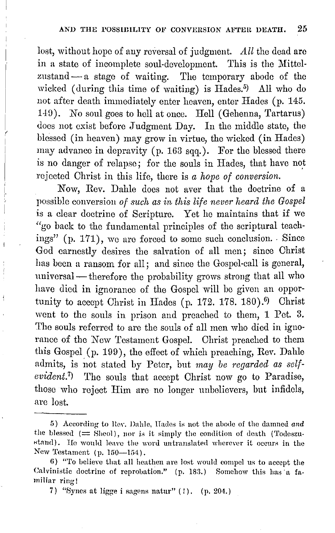lost, without hope of any reversal of judgment.  $\Delta ll$  the dead are in a state of incomplete soul-development. This is the Mittelzustand  $-$  a stage of waiting. The temporary abode of the wicked ( during this time of waiting) is Hades.<sup>5</sup> ) All who do not after death immediately enter heaven, enter IIades (p. 145. 149). No soul goes to hell at once. Hell (Gehenna, Tartarus) does not exist before Judgment Day. In the middle state, the blessed (in heaven) may grow in virtue, the wicked (in Hades) may advance in depravity (p. 163 sqq.). For the blessed there is no danger of relapse; for the souls in Hades, that have not rejected Christ in this life, there is *a hope of conversion.* 

Now, Rev. Dahle does not aver that the doctrine of a possible conversion *of such as in this life never heard the Gospel*  is a clear doctrine of Scripture. Yet he maintains that if we "go back to the fundamental principles of the scriptural teachings" (p. 171), we are forced to some such conclusion. Since God earnestly desires the salvation of all men; since Christ has been a ransom for all; and since the Gospel-call is general, universal - therefore the probability grows strong that all who have died in ignorance of the Gospel will be given an opportunity to accept Christ in Hades (p. 172. 178. 180). $\degree$  Christ went to the souls in prison and preached to them, 1 Pet. 3. The souls referred to are the souls of all men who died in ignorance of the New Testament Gospel. Christ preached to them this Gospel (p. 199), the effect of which preaching, Rev. Dahle admits, is not stated by Peter, but *may be regarded as selfevident.7)* The souls that accept Christ now go to Paradise, those who reject Him are no longer unbelievers, but infidels, are lost.

<sup>5)</sup> According to Rev. Dahle, Hades is not the abode of the damned and the blessed  $(=$  Sheol), nor is it simply the condition of death (Todeszustand). He would leave the word untranslated wherever it occurs in the New Testament (p. 150-154).

<sup>6) &</sup>quot;To believe that all heathen are lost would compel us to accept the Calvinistic doctrine of reprobation." (p. 183.) Somehow this has a familiar ring!

<sup>7) &</sup>quot;Synes at ligge i sagens natur"  $(!)$ . (p. 204.)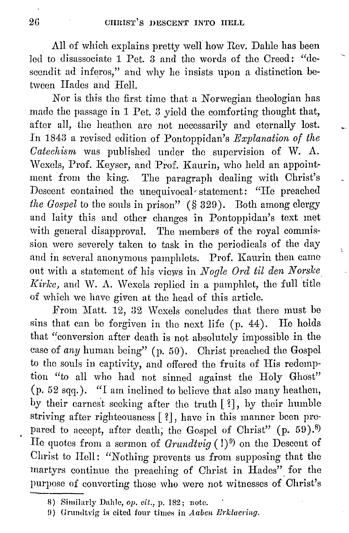**All** of which explains pretty well how Rev. Dahle has been led to disassociate 1 Pet. 3 and the words of the Creed: "descendit ad inferos," and why he insists upon a distinction between Hades and Hell.

Nor is this the first time that a Norwegian theologian has made tho passage in 1 Pet. 3 yield the comforting thought that, after all, the heathen are not necessarily and eternally lost. In 1843 a revised edition of Pontoppidan's *Explanation of the Oatechisrn* was published under the supervision of W. A. Wexels, Prof. Keyser, and Prof. Kaurin, who held an appointment from the king. The paragraph dealing with Christ's Descent contained the unequivocal statement: "He preached *the Gospel* to the souls in prison" (§ 329). Both among clergy and laity this and other changes in Pontoppidan's text met with general disapproval. The members of the royal commission were severely taken to task in the periodicals of the day and in several anonymous pamphlets. Prof. Kaurin then came out with a statement of his views in *Nogle Ord til den Norske Kirke*, and W. A. Wexels replied in a pamphlet, the full title of which we have given at the head of this article.

 $\mathbf{r}$ 

From Matt. 12, 32 Wexels concludes that there must be sins that can be forgiven in the next life (p. 44). He holds that "conversion after death is not absolutely impossible in the case of *any* human being" (p. 50). Christ preached the Gospel to tho souls in captivity, and offered the fruits of His redemption "to all who had not sinned against the Holy Ghost"  $(p. 52 sqq.)$ . "I am inclined to believe that also many heathen, by their carnest seeking after the truth [?], by their humble striving after righteousness [ ?] , have in this manner been pre pared to accept, after death, the Gospel of Christ" (p. 59).<sup>8)</sup> He quotes from a sermon of *Grundtvig* (!)<sup>9</sup>) on the Descent of Christ to Hell: "Nothing prevents us from supposing that tho martyrs continue the preaching of Christ in Hades" for the purpose of converting those who were not witnesses of Christ's

<sup>8)</sup> Similarly Dahle, *op. cit.,* p. 182; note.

<sup>0)</sup> Grundtvig is cited four times in *Aauen Brklacring.*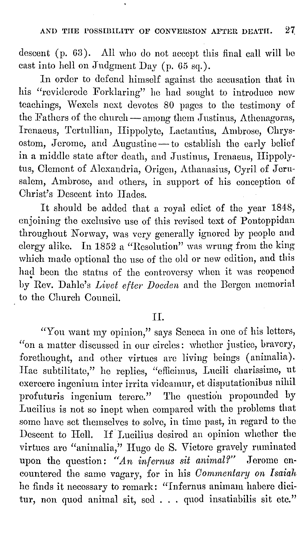descent (p. 63). All who do not accept this final call will be cast into hell on Judgment Day (p.  $65 \text{ sq.}$ ).

In order to defend himself against the accusation that in his "reviderede Forklaring" he had sought to introduce new teachings, Wexels next devotes 80 pages to the testimony of the Fathers of the church — among them Justinus, Athenagoras, Irenaeus, Tertullian, Hippolyte, Lactantius, Ambrose, Chrysostom, Jerome, and Augustine - to establish the early belief in a middle state after death, and Justinus, Irenaeus, Hippolytus, Clement of Alexandria, Origen, Athanasius, Cyril of Jerusalem, Ambrose, and others, in support of his conception of Christ's Descent into Hades.

It should be added that a royal edict of tho year 1848, enjoining tho exclusive use of this revised text of Pontoppidan throughout Norway, was very generally ignored by people and clergy alike. In 1852 a "Resolution" was wrung from the king which made optional the use of the old or new edition, and this had been the status of the controversy when it was reopened by Rev. Dahle's *Livet efter Doeden* and tho Borgen memorial to the Church Council.

### IL

"Yon want my opinion," says Seneca in one of his letters, "on a matter discussed in our circles: whether justice, bravery, forethought, and other virtues are living beings (animalia). Hac subtilitate," he replies, "efficimus, Lucili charissime, ut exercere ingenium inter irrita videamur, et disputationibus nihil profuturis ingenium terere." The question propounded by Lucilius is not so inept when compared with the problems that some have set themselves to solve, in time past, in regard to the Descent to Hell. If Lucilius desired an opinion whether tho virtues are "animalia," Hugo do S. Victore gravely ruminated upon the question: "An infernus sit animal?" Jerome encountered the same vagary, for in his *Commentary on Isaiah* ho finds it necessary to remark: "Infornus animam hahero dicitur, non quod animal sit, sed . . . quod insatiabilis sit etc."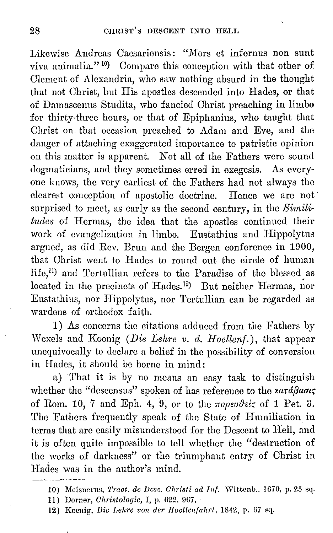Likewise Andreas Caesariensis: "Mors et infernus non sunt viva animalia."<sup>10</sup> Compare this conception with that other of Clement of Alexandria, who saw nothing absurd in the thought that not Christ, hut His apostles descended into Hades, or that of Damascenus Studita, who fancied Christ preaching in limbo for thirty-three hours, or that of Epiphanius, who taught that Christ on that occasion preached to Adam and Eve, and the danger of attaching exaggerated importance to patristic opinion on this matter is apparent. Not all of the Fathers were sound dogmaticians, and they sometimes erred in exegesis. As everyone knows, the very earliest of the Fathers had not always tho clearest conception of apostolic doctrine. Hence we are not surprised to meet, as early as the second century, in the *Similitudes* of IIermas, the idea that the apostles continued their work of evangelization in limbo. Eustathius and Hippolytus argued, as did Rev. Brun and the Bergen conference in 1900, that Christ wont to Hades to round out the circle of human lifc,11) and Tertullian refers to the Paradise of the blessed as  $located in the precincts of Hades.<sup>12</sup> But neither Hermas, nor$ Eustathius, nor Hippolytus, nor Tertullian can be regarded as wardens of orthodox faith.

1) As concerns tho citations adduced from the Fathers by Wexols and Koenig *(D·ie Lehre v. d. Hoellenf.),* that appear unequivocally to declare a belief in tho possibility of conversion in Hades, it should be borne in mind:

a) That it is by no means an easy task to distinguish whether the "descensus" spoken of has reference to the *xará flaoi*, of Rom. 10, 7 and Eph. 4, 9, or to the  $\pi$ opevdeis of 1 Pet. 3. The Fathers frequently speak of the State of Humiliation in terms that are easily misunderstood for tho Descent to Hell, and it is often quite impossible to tell whether the "destruction of the works of darkness" or the triumphant entry of Christ in Hades was in the author's mind.

12) Koenig, *Die Lehre von der Hoellenfahrt*, 1842, p. 67 sq.

IO) Meisnenrn, *'J'raat. de J)cso. Christi ad* Inf. Wittenb., 1670, p. 25 sq.

<sup>11)</sup> Dorner, *Christologic*, I, p. 622. 967.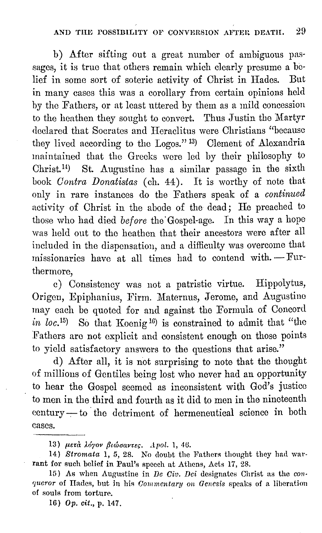b) After sifting out a great number of ambiguous passages, it is true that others remain which clearly presume a belief in some sort of soteric activity of Christ in Hades. But in many cases this was a corollary from certain opinions held by the Fathers, or at least uttered by them as a mild concession to the heathen they sought to convert. Thus Justin tho Martyr declared that Socrates and Heraclitus were Christians "because they lived according to the Logos." 13) Clement of Alexandria maintained that the Greeks were led by their philosophy to Christ. 14) St. Augustine has a similar passage in the sixth book *Contra Donatistas* (ch. 44). It is worthy of note that only in rare instances do the Fathers speak of a *continued*  activity of Christ in the abode of the dead; He preached to those who had died *before* tho· Gospel-age. In this way a hope was held out to the heathen that their ancestors were after all included in the dispensation, and a difficulty was overcome that missionaries have at all times had to contend with.  $-Fur$ thermore,

c) Consistency was not a patristic virtue. Hippolytus, Origen, Epiphanius, Firm. Maternus, Jerome, and Augustine may each be quoted for and against the Formula of Concord *in loc.*<sup>15</sup>) So that Koenig<sup>16</sup>) is constrained to admit that "the Fathers arc not explicit and consistent enough on those points to yield satisfactory answers to the questions that arise."

d) After all, it is not surprising to note that the thought of millions of Gentiles being lost who never had an opportunity to hear the Gospel seemed as inconsistent with God's justice to men in the third and fourth as it did to men in the nineteenth century-to the detriment of hermeneutical science in both cases.

13) μετά λόγον βιώσαντες. *Apol.* 1, 46.

14) Stromata 1, 5, 28. No doubt the Fathers thought they had warrant for such belief in Paul's speech at Athens, Acts 17, 28.

15) As when Augustine in *De Civ. Dei* designates Christ as the *congueror* of Hades, but in his *Commentary on Genesis* speaks of a liberation of souls from torture.

16) Op. *cit.,* p. 147 \_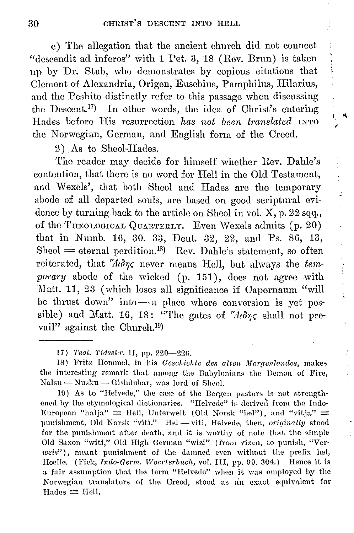e) The allegation that the ancient church did not connect "descendit ad infcros" with 1 Pet. 3, 18 (Rev. Brun) is taken up hy Dr. Stuh, who demonstrates hy copious citations that Clement of Alexandria, Origen, Eusehius, Pamphilus, Hilarius, and the Peshito distinctly refer to this passage when discussing the Descent.<sup>17</sup>) In other words, the idea of Christ's entering Hades before His resurrection *has not been translated* INTO the Norwegian, German, and English form of the Creed.

I "I. ,

 $\begin{array}{c} 1 \\ 1 \\ 2 \\ 3 \end{array}$ 

2) As to Sheol-Hades.

Tho reader may decide for himself whether Rev. Dahle's contention, that there is no word for Hell in the Old Testament, and Wexels', that both Sheol and Hades are the temporary abode of all departed souls, are based on good scriptural evidence by turning back to the article on Sheol in vol.  $X$ , p. 22 sqq., of the THEOLOGICAL QUARTERLY. Even Wexels admits (p. 20) that in Numb. 16, 30. 33, Dent. 32, 22, and Ps. 86, 13,  $Sheol =$  eternal perdition.<sup>18</sup>) Rev. Dahle's statement, so often reiterated, that  $\partial \omega$ , never means Hell, but always the *temporary* abode of the wicked (p. 151), does not agree with :Matt. 11, 23 (which loses all significance if Capemaum "will be thrust down" into $-a$  place where conversion is yet possible) and Matt. 16, 18: "The gates of " $\lambda t \partial \gamma \zeta$  shall not prevail" against the Church.<sup>19</sup>)

19) As to "Helvede," the case of the Bergen pastors is not strengthened by the etymological dictionaries. "Helvede" is derived from the Indo-European "halja" = Hell, Unterwelt (Old Norsk "hel"), and "vitja" = punishment, Old Norsk "viti." Hel - viti, Helvede, then, *originally* stood for the punishment after death, and it is worthy of note that the simple Old Saxon "witi," Old High German "wizi" (from vizan, to punish, "Verweis"), meant punishment of the damned even without the prefix hel, Hoelle. (Fick, *Indo-Germ. Woerterbuch*, vol. III, pp. 99. 304.) Hence it is a fair assumption that the term "Helvede" when it was employed by the Norwegian translators of the Creed, stood as an exact equivalent for  $Hades = Hell.$ 

<sup>17)</sup> *Teol. Tidsskr.* 1I, pp. 220-226.

<sup>18)</sup> Fritz Hommel, in his *Gcschichtc des alten Morgenlandes,* makes the interesting remark that among the Babylonians the Demon of Fire, Nalsu - Nusku - Gishdubar, was lord of Sheol.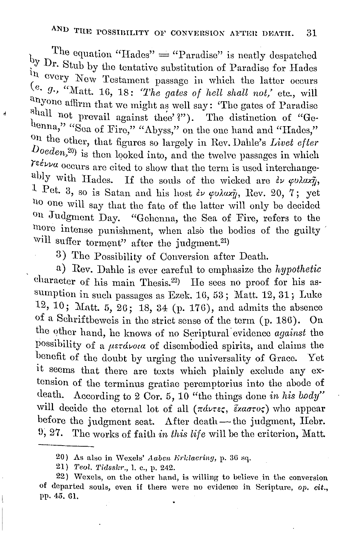The equation "Hades"  $=$  "Paradise" is neatly despatched by Dr. Stub by the tentative substitution of Paradise for Hades ~ 11 every Now Testament passage **in** which the latter occurs *e. g.,* "Matt. Hi, 18: *'The gates of hell shall not,'* etc., will anyone affirm that we might as well say: 'The gates of Paradise shall not prevail against thee'?"). The distinction of "Gehenna," "Sea of Fire," "Abyss," on the one hand and "Hades," on the other, that figures so largely in Rev. Dahle's *Livet efter Doeden*,<sup>20</sup>) is then looked into, and the twelve passages in which *reévva* occurs are cited to show that the term is used interchange-<br>ably with Hades. If the souls of the wicked are  $\frac{2\nu}{\nu} \varphi \nu \lambda \alpha x \tilde{\eta}$ , 1 Pet. 3, so is Satan and his host *εν φυλαχή*, Rev. 20, 7; yet 110 one will say that the fate of the latter will only be decided 011 Judgment Day. "Gehenna, the Sea of Fire, refers to the more intense punishment, when also the bodies of the guilty will suffer torment" after the judgment.<sup>21)</sup>

 $\epsilon$ 

3) The Possibility of Conversion after Death.

a) Rev. Dahle is ever careful to emphasize the *hypothetic*  character of his main Thesis.<sup>22</sup>) He sees no proof for his assumption in such passages as Ezek.  $16, 53$ ; Matt.  $12, 31$ ; Luke 12, 10; Matt. 5, 26; 18, 34 (p. 176), and admits the absence of a Schriftbeweis in tho strict sense of the term (p. 18G). On tho other hand, he knows of no Scriptural' evidence *against* the possibility of a  $\mu$ erdvota of disembodied spirits, and claims the benefit of the doubt by urging the universality of Grace. Yet it seems that there are texts which plainly exclude any extension of the terminus gratiae peremptorius into the abode of death. According to 2 Cor. 5, 10 "the things done *in his body"* will decide the eternal lot of all (πάντες, έχαστος) who appear before the judgment seat. After death-the judgment, Hebr. U, 27. The works of faith *in this life* will be the criterion, Matt.

<sup>20)</sup> As also in \Vexels' *Aaben lfrklaering,* p. 36 sq.

<sup>21)</sup> *'l'eol. 'l'i{lsskr.,* 1. c., p. 242.

<sup>22)</sup> vVexels, on the other hand, is willing to believe. in the conversion of departed souls, even if there were no evidence in Scripture, op. *cit.*, pp. 45. Gl.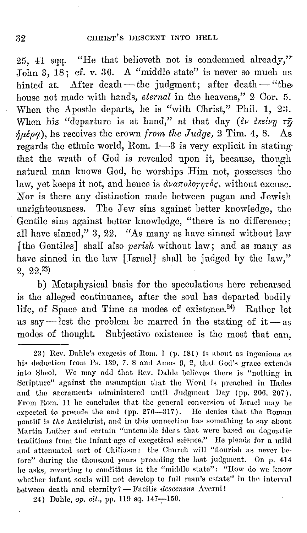25, 41 sqq. "He that believeth not is condemned already," John 3, 18; cf. v. 36. A "middle state" is never so much as hinted at. After death-the judgment; after death-"the house not made with hands, *eternal* in the heavens," 2 Cor. 5. When the Apostle departs, he is "with Christ," Phil. 1, 23. When his "departure is at hand," at that day  $(\partial \nu)$   $\partial \chi$  $\delta\mu\dot{\epsilon}\rho\dot{\varphi}$ ), he receives the crown *from the Judge,* 2 Tim. 4, 8. As regards the ethnic world, Rom.  $1-3$  is very explicit in stating that the wrath of God is revealed upon it, because, though natural man knows God, he worships Him not, possesses tho law, yet keeps it not, and hence is  $\partial \nu \partial \alpha \pi \partial \partial \gamma \eta \tau \partial \zeta$ , without excuse. Nor is there any distinction made between pagan and Jewish unrighteousness. The Jew sins against better knowledge, the Gentile sins against better knowledge, "there is no difference; all have sinned," 3, 22. "As many as have sinned without law [ the Gentiles] shall also *perish* without law; and as many as have sinned in the law [Israel] shall be judged by the law," 2, 22.23)

b) Metaphysical basis for the speculations here rehearsed is the alleged continuance, after the soul has departed bodily life, of Space and Time as modes of existence.<sup>24)</sup> Rather let us say—lest the problem be marred in the stating of it—as modes of thought. Subjective existence is the most that can,

23) Rev. Dahle's exegesis of Rom. 1 (p. 181) is about as ingenious as his deduction from Ps. 139, 7. 8 and Amos 9, 2, that God's grace extends into Sheol. We may add that Rev. Dahle believes there is "nothing in Scripture" against the assumption that the Word is preached in Hades and the sacraments administered until Judgment Day (pp. 206. 207). From Rom. 11 he concludes that the general conversion of Israel may be expected to precede the end (pp.  $276-317$ ). He denies that the Roman pontiff is the Antichrist, and in this connection has something to say about Martin Luther and certain "untenable ideas that were based on dogmatic traditions from the infant-age of exegetical science." He pleads for a mild and attenuated sort of Chiliasm: the Church will "flourish as never before" during the thousand years preceding the last judgment. On p. 414 he asks, reverting to conditions in the "middle state": "How do we know whether infant souls will not develop to full man's estate" in the interval between death and eternity? - Facilis *descensus* Averni!

24) Dahle, *op. cit.*, pp. 119 sq. 147-150.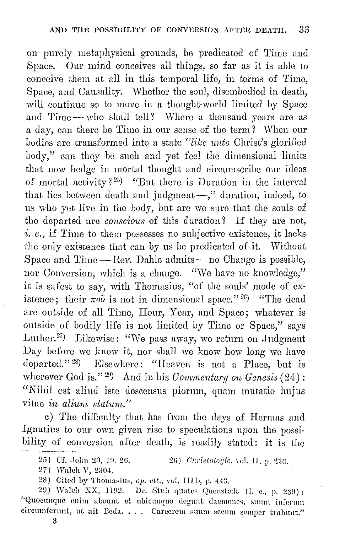on purely metaphysical grounds, be predicated of Time and Space. Our mind conceives all things, so far as it is able to conceive them at all in this temporal life, in terms of Time, Space, and Causality. Whether the soul, disembodied in death, will continue so to move in a thought-world limited by Space and Time-who shall tell? Where a thousand years are as a day, can there be Time in our sense of the term? When our bodies are transformed into a state "like unto Christ's glorified body," can they be such and yet feel the dimensional limits that now hedge in mortal thought and circumscribe our ideas of mortal activity?<sup>25</sup>) "But there is Duration in the interval that lies between death and judgment-," duration, indeed, to us who yet live in tho body, but arc we sure that the souls of the departed are *conscious* of this duration? If they are not, i. e., if Time to them possesses no subjective existence, it lacks the only existence that can by us be predicated of it. Without Space and Time  $-$  Rev. Dahle admits  $-$  no Change is possible, nor Conversion, which is a change. "We have no knowledge," it is safest to say, with Thomasius, "of the souls' mode of existence; their  $\pi o\tilde{\nu}$  is not in dimensional space."<sup>26</sup>) "The dead are outside of all Time, Hour, Year, and Space; whatever is outside of bodily life is not limited by Time or Space," says Luther.<sup>27</sup>) Likewise: "We pass away, we return on Judgment Day before we know it, nor shall we know how long we have departed." 28) Elsewhere: "Heaven is not a Place, but is wherever God is."<sup>29</sup>) And in his *Commentary on Genesis* (24): "Nihil est aliud iste descensus piorum, quam mutatio hujus vitae *in alium statum.*"

c) Tho difliculty that has from tho days of Hormas and Ignatius to our own given rise to speculations upon the possibility of conversion after death, is readily stated: it is the

29) Walch XX, 1192. Dr. Stub quotes Quenstedt (1. c., p. 239): "Quocunque enim abeunt et ubicunque degunt daemones, suum inferum circumferunt, ut ait Beda. . . . Carcerem suum secum semper trahunt."

<sup>25)</sup> Cf. John 20, 19, 26. : 26) *Ohristologie*, vol. H, p. 236.

<sup>27)</sup> Walch V, 2304.

<sup>28)</sup> Cited by Thomasius, *op. cit.*, vol. III b, p. 443.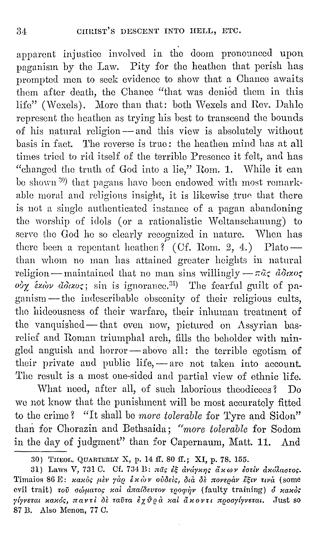apparent injustice involved in the doom pronounced upon paganism by the Law. Pity for the heathen that perish has prompted men to seek evidence to show that a Chance awaits them after death, the Chance "that was denied them in this life" (Wexels). More than that: both Wexels and Rev. Dahle represent the heathen as trying his best to transcend tho bounds of his natural religion - and this view is absolutely without basis in fact. The reverse is true: the heathen mind has at all times tried to rid itself of the terrible Presence it felt, and has "changed tho truth of God into a lie," Rom. 1. While it can be shown <sup>39</sup>) that pagans have been endowed with most remarkable moral and religious insight, it is likewise true that there is not a single authenticated instance of a pagan abandoning the worship of idols (or a rationalistic Weltanschauung) to serve the God he so clearly recognized in nature. When has there been a repentant heathen? (Cf. Rom. 2, 4.) Plato -than whom no man has attained greater heights in natural religion- maintained that no man sins willingly  $-\pi\tilde{a}\zeta \ d\theta x$ o $\zeta$ ov<sub>X</sub> έχων άδιχος; sin is ignorance.<sup>31</sup>) The fearful guilt of paganism - the indescribable obscenity of their religious cults, tho hideousness of their warfare, their inhuman treatment of the vanquished-that even now, pictured on Assyrian basrelief and Roman triumphal arch, fills the beholder with mingled anguish and horror-above all: the terrible egotism of their private and public life,  $-$  are not taken into account. The result is a most one-sided and partial view of ethnic life.

What need, after all, of such laborious theodicees? Do we not know that the punishment will be most accurately fitted to the crime? "It shall be *more tolerable* for Tyre and Sidon" than for Chorazin and Bethsaida; *"rnore tolerable* for Sodom in the day of judgment" than for Capernaum, Matt. 11. And

<sup>30)</sup> THEOL. QUARTERLY X, p. 14 ff. 80 ff.; XI, p. 78. 155.

<sup>31)</sup> Laws V, 731 C. Cf. 734 B:  $\pi\tilde{a}$ s *iš dváyzns az av iotiv dzólastos*. Timaios 86 E: *κακός μεν γάρ έκων ούδεις, διά δε πονεραν έξιν τινα* (some evil trait) του σώματος και απαίδευτον τροφήν (faulty training) δ κακός  $γ$ *lyvεται κακός, παντί δε ταῦτα έχθρα και άκοντι προσγίγνεται.* Just so 87 B. Also Menon, 77 C.